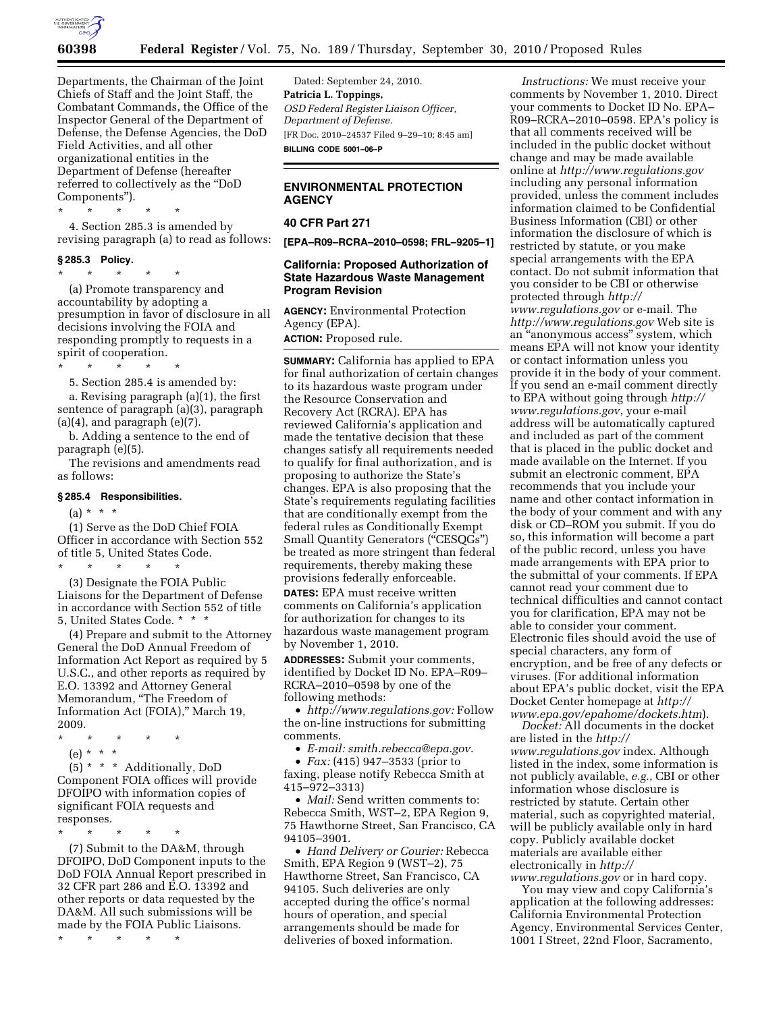

Departments, the Chairman of the Joint Chiefs of Staff and the Joint Staff, the Combatant Commands, the Office of the Inspector General of the Department of Defense, the Defense Agencies, the DoD Field Activities, and all other organizational entities in the Department of Defense (hereafter referred to collectively as the ''DoD Components'').

\* \* \* \* \* 4. Section 285.3 is amended by revising paragraph (a) to read as follows:

#### **§ 285.3 Policy.**

\* \* \* \* \*

(a) Promote transparency and accountability by adopting a presumption in favor of disclosure in all decisions involving the FOIA and responding promptly to requests in a spirit of cooperation.

\* \* \* \* \* 5. Section 285.4 is amended by:

a. Revising paragraph (a)(1), the first sentence of paragraph (a)(3), paragraph  $(a)(4)$ , and paragraph  $(e)(7)$ .

b. Adding a sentence to the end of paragraph (e)(5).

The revisions and amendments read as follows:

#### **§ 285.4 Responsibilities.**

 $(a) * * * *$ 

(1) Serve as the DoD Chief FOIA Officer in accordance with Section 552 of title 5, United States Code.

\* \* \* \* \* (3) Designate the FOIA Public Liaisons for the Department of Defense in accordance with Section 552 of title 5, United States Code. \*

(4) Prepare and submit to the Attorney General the DoD Annual Freedom of Information Act Report as required by 5 U.S.C., and other reports as required by E.O. 13392 and Attorney General Memorandum, ''The Freedom of Information Act (FOIA),'' March 19, 2009.

- \* \* \* \* \*
- (e) \* \* \*

(5) \* \* \* Additionally, DoD Component FOIA offices will provide DFOIPO with information copies of significant FOIA requests and responses.

\* \* \* \* \*

(7) Submit to the DA&M, through DFOIPO, DoD Component inputs to the DoD FOIA Annual Report prescribed in 32 CFR part 286 and E.O. 13392 and other reports or data requested by the DA&M. All such submissions will be made by the FOIA Public Liaisons.

\* \* \* \* \*

Dated: September 24, 2010. **Patricia L. Toppings,**  *OSD Federal Register Liaison Officer, Department of Defense.*  [FR Doc. 2010–24537 Filed 9–29–10; 8:45 am] **BILLING CODE 5001–06–P** 

### **ENVIRONMENTAL PROTECTION AGENCY**

# **40 CFR Part 271**

**[EPA–R09–RCRA–2010–0598; FRL–9205–1]** 

## **California: Proposed Authorization of State Hazardous Waste Management Program Revision**

**AGENCY:** Environmental Protection Agency (EPA). **ACTION:** Proposed rule.

**SUMMARY:** California has applied to EPA for final authorization of certain changes to its hazardous waste program under the Resource Conservation and Recovery Act (RCRA). EPA has reviewed California's application and made the tentative decision that these changes satisfy all requirements needed to qualify for final authorization, and is proposing to authorize the State's changes. EPA is also proposing that the State's requirements regulating facilities that are conditionally exempt from the federal rules as Conditionally Exempt Small Quantity Generators ("CESQGs") be treated as more stringent than federal requirements, thereby making these provisions federally enforceable.

**DATES:** EPA must receive written comments on California's application for authorization for changes to its hazardous waste management program by November 1, 2010.

**ADDRESSES:** Submit your comments, identified by Docket ID No. EPA–R09– RCRA–2010–0598 by one of the following methods:

• *[http://www.regulations.gov:](http://www.regulations.gov)* Follow the on-line instructions for submitting comments.

• *E-mail: [smith.rebecca@epa.gov](mailto:smith.rebecca@epa.gov)*.

• *Fax:* (415) 947–3533 (prior to faxing, please notify Rebecca Smith at 415–972–3313)

• *Mail:* Send written comments to: Rebecca Smith, WST–2, EPA Region 9, 75 Hawthorne Street, San Francisco, CA 94105–3901.

• *Hand Delivery or Courier:* Rebecca Smith, EPA Region 9 (WST–2), 75 Hawthorne Street, San Francisco, CA 94105. Such deliveries are only accepted during the office's normal hours of operation, and special arrangements should be made for deliveries of boxed information.

*Instructions:* We must receive your comments by November 1, 2010. Direct your comments to Docket ID No. EPA– R09–RCRA–2010–0598. EPA's policy is that all comments received will be included in the public docket without change and may be made available online at *<http://www.regulations.gov>*  including any personal information provided, unless the comment includes information claimed to be Confidential Business Information (CBI) or other information the disclosure of which is restricted by statute, or you make special arrangements with the EPA contact. Do not submit information that you consider to be CBI or otherwise protected through *[http://](http://www.regulations.gov)  [www.regulations.gov](http://www.regulations.gov)* or e-mail. The *<http://www.regulations.gov>* Web site is an ''anonymous access'' system, which means EPA will not know your identity or contact information unless you provide it in the body of your comment. If you send an e-mail comment directly to EPA without going through *[http://](http://www.regulations.gov) [www.regulations.gov](http://www.regulations.gov)*, your e-mail address will be automatically captured and included as part of the comment that is placed in the public docket and made available on the Internet. If you submit an electronic comment, EPA recommends that you include your name and other contact information in the body of your comment and with any disk or CD–ROM you submit. If you do so, this information will become a part of the public record, unless you have made arrangements with EPA prior to the submittal of your comments. If EPA cannot read your comment due to technical difficulties and cannot contact you for clarification, EPA may not be able to consider your comment. Electronic files should avoid the use of special characters, any form of encryption, and be free of any defects or viruses. (For additional information about EPA's public docket, visit the EPA Docket Center homepage at *[http://](http://www.epa.gov/epahome/dockets.htm) [www.epa.gov/epahome/dockets.htm](http://www.epa.gov/epahome/dockets.htm)*).

*Docket:* All documents in the docket are listed in the *[http://](http://www.regulations.gov) [www.regulations.gov](http://www.regulations.gov)* index. Although listed in the index, some information is not publicly available, *e.g.,* CBI or other information whose disclosure is restricted by statute. Certain other material, such as copyrighted material, will be publicly available only in hard copy. Publicly available docket materials are available either electronically in *[http://](http://www.regulations.gov) [www.regulations.gov](http://www.regulations.gov)* or in hard copy.

You may view and copy California's application at the following addresses: California Environmental Protection Agency, Environmental Services Center, 1001 I Street, 22nd Floor, Sacramento,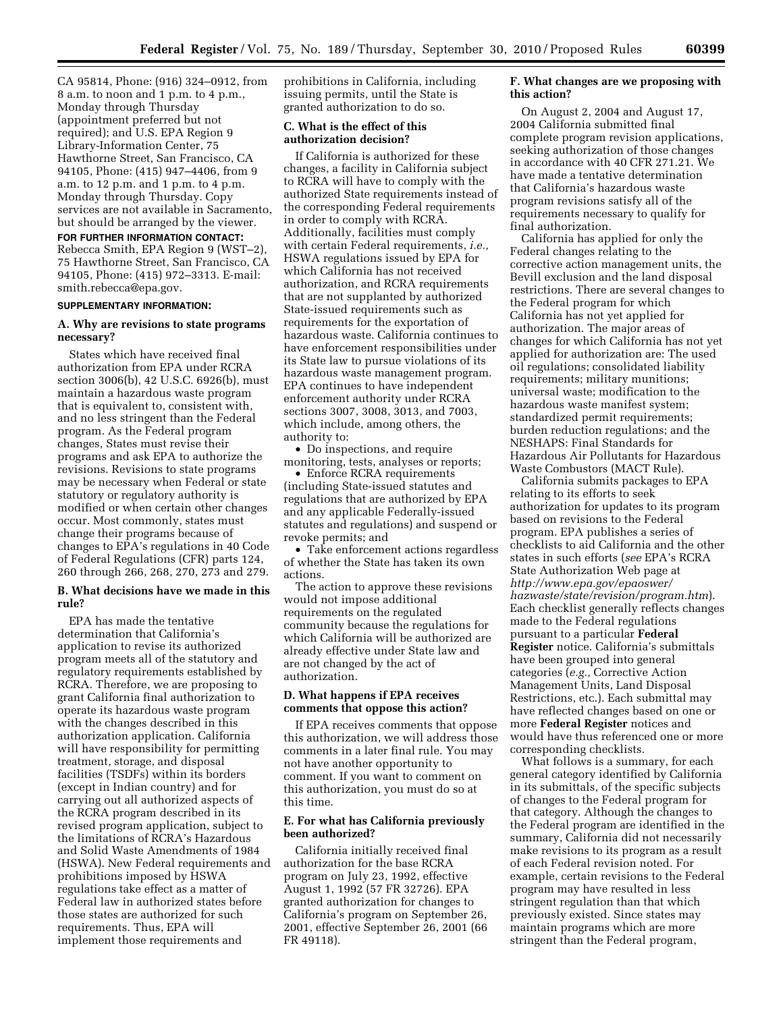CA 95814, Phone: (916) 324–0912, from 8 a.m. to noon and 1 p.m. to 4 p.m., Monday through Thursday (appointment preferred but not required); and U.S. EPA Region 9 Library-Information Center, 75 Hawthorne Street, San Francisco, CA 94105, Phone: (415) 947–4406, from 9 a.m. to 12 p.m. and 1 p.m. to 4 p.m. Monday through Thursday. Copy services are not available in Sacramento, but should be arranged by the viewer.

#### **FOR FURTHER INFORMATION CONTACT:**

Rebecca Smith, EPA Region 9 (WST–2), 75 Hawthorne Street, San Francisco, CA 94105, Phone: (415) 972–3313. E-mail: [smith.rebecca@epa.gov.](mailto:smith.rebecca@epa.gov) 

#### **SUPPLEMENTARY INFORMATION:**

### **A. Why are revisions to state programs necessary?**

States which have received final authorization from EPA under RCRA section 3006(b), 42 U.S.C. 6926(b), must maintain a hazardous waste program that is equivalent to, consistent with, and no less stringent than the Federal program. As the Federal program changes, States must revise their programs and ask EPA to authorize the revisions. Revisions to state programs may be necessary when Federal or state statutory or regulatory authority is modified or when certain other changes occur. Most commonly, states must change their programs because of changes to EPA's regulations in 40 Code of Federal Regulations (CFR) parts 124, 260 through 266, 268, 270, 273 and 279.

#### **B. What decisions have we made in this rule?**

EPA has made the tentative determination that California's application to revise its authorized program meets all of the statutory and regulatory requirements established by RCRA. Therefore, we are proposing to grant California final authorization to operate its hazardous waste program with the changes described in this authorization application. California will have responsibility for permitting treatment, storage, and disposal facilities (TSDFs) within its borders (except in Indian country) and for carrying out all authorized aspects of the RCRA program described in its revised program application, subject to the limitations of RCRA's Hazardous and Solid Waste Amendments of 1984 (HSWA). New Federal requirements and prohibitions imposed by HSWA regulations take effect as a matter of Federal law in authorized states before those states are authorized for such requirements. Thus, EPA will implement those requirements and

prohibitions in California, including issuing permits, until the State is granted authorization to do so.

#### **C. What is the effect of this authorization decision?**

If California is authorized for these changes, a facility in California subject to RCRA will have to comply with the authorized State requirements instead of the corresponding Federal requirements in order to comply with RCRA. Additionally, facilities must comply with certain Federal requirements, *i.e.,*  HSWA regulations issued by EPA for which California has not received authorization, and RCRA requirements that are not supplanted by authorized State-issued requirements such as requirements for the exportation of hazardous waste. California continues to have enforcement responsibilities under its State law to pursue violations of its hazardous waste management program. EPA continues to have independent enforcement authority under RCRA sections 3007, 3008, 3013, and 7003, which include, among others, the authority to:

• Do inspections, and require monitoring, tests, analyses or reports;

• Enforce RCRA requirements (including State-issued statutes and regulations that are authorized by EPA and any applicable Federally-issued statutes and regulations) and suspend or revoke permits; and

• Take enforcement actions regardless of whether the State has taken its own actions.

The action to approve these revisions would not impose additional requirements on the regulated community because the regulations for which California will be authorized are already effective under State law and are not changed by the act of authorization.

### **D. What happens if EPA receives comments that oppose this action?**

If EPA receives comments that oppose this authorization, we will address those comments in a later final rule. You may not have another opportunity to comment. If you want to comment on this authorization, you must do so at this time.

### **E. For what has California previously been authorized?**

California initially received final authorization for the base RCRA program on July 23, 1992, effective August 1, 1992 (57 FR 32726). EPA granted authorization for changes to California's program on September 26, 2001, effective September 26, 2001 (66 FR 49118).

## **F. What changes are we proposing with this action?**

On August 2, 2004 and August 17, 2004 California submitted final complete program revision applications, seeking authorization of those changes in accordance with 40 CFR 271.21. We have made a tentative determination that California's hazardous waste program revisions satisfy all of the requirements necessary to qualify for final authorization.

California has applied for only the Federal changes relating to the corrective action management units, the Bevill exclusion and the land disposal restrictions. There are several changes to the Federal program for which California has not yet applied for authorization. The major areas of changes for which California has not yet applied for authorization are: The used oil regulations; consolidated liability requirements; military munitions; universal waste; modification to the hazardous waste manifest system; standardized permit requirements; burden reduction regulations; and the NESHAPS: Final Standards for Hazardous Air Pollutants for Hazardous Waste Combustors (MACT Rule).

California submits packages to EPA relating to its efforts to seek authorization for updates to its program based on revisions to the Federal program. EPA publishes a series of checklists to aid California and the other states in such efforts (*see* EPA's RCRA State Authorization Web page at *[http://www.epa.gov/epaoswer/](http://www.epa.gov/epaoswer/hazwaste/state/revision/program.htm) [hazwaste/state/revision/program.htm](http://www.epa.gov/epaoswer/hazwaste/state/revision/program.htm)*). Each checklist generally reflects changes made to the Federal regulations pursuant to a particular **Federal Register** notice. California's submittals have been grouped into general categories (*e.g.,* Corrective Action Management Units, Land Disposal Restrictions, etc.). Each submittal may have reflected changes based on one or more **Federal Register** notices and would have thus referenced one or more corresponding checklists.

What follows is a summary, for each general category identified by California in its submittals, of the specific subjects of changes to the Federal program for that category. Although the changes to the Federal program are identified in the summary, California did not necessarily make revisions to its program as a result of each Federal revision noted. For example, certain revisions to the Federal program may have resulted in less stringent regulation than that which previously existed. Since states may maintain programs which are more stringent than the Federal program,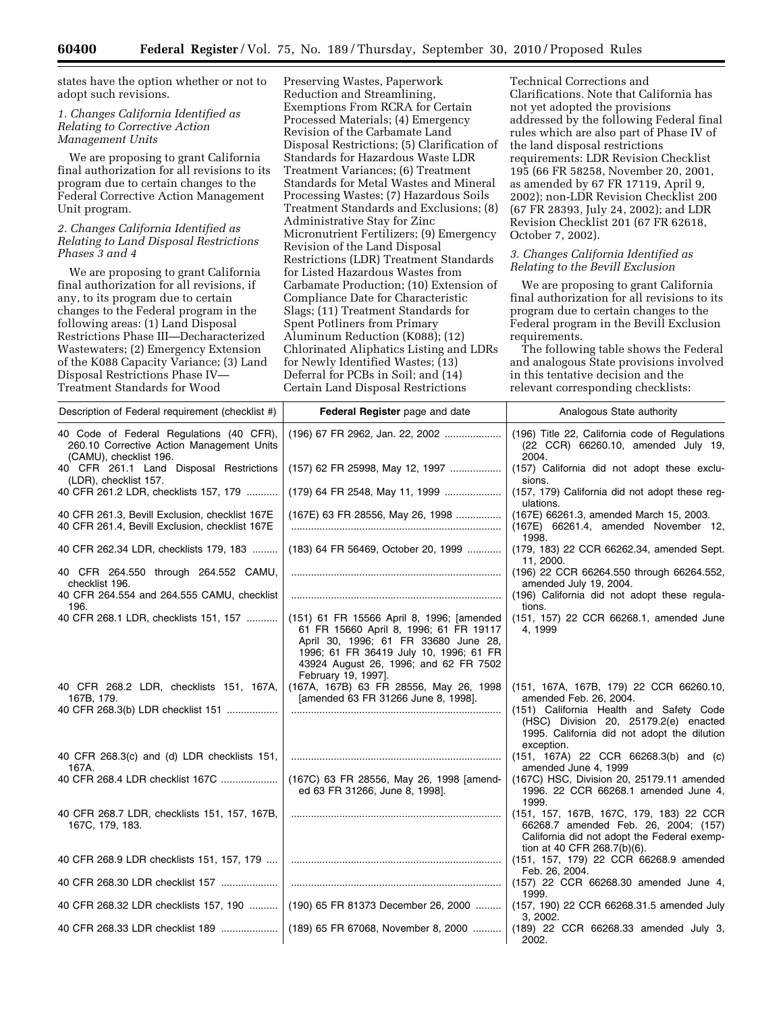states have the option whether or not to adopt such revisions.

### *1. Changes California Identified as Relating to Corrective Action Management Units*

We are proposing to grant California final authorization for all revisions to its program due to certain changes to the Federal Corrective Action Management Unit program.

### *2. Changes California Identified as Relating to Land Disposal Restrictions Phases 3 and 4*

We are proposing to grant California final authorization for all revisions, if any, to its program due to certain changes to the Federal program in the following areas: (1) Land Disposal Restrictions Phase III—Decharacterized Wastewaters; (2) Emergency Extension of the K088 Capacity Variance; (3) Land Disposal Restrictions Phase IV— Treatment Standards for Wood

Preserving Wastes, Paperwork Reduction and Streamlining, Exemptions From RCRA for Certain Processed Materials; (4) Emergency Revision of the Carbamate Land Disposal Restrictions; (5) Clarification of Standards for Hazardous Waste LDR Treatment Variances; (6) Treatment Standards for Metal Wastes and Mineral Processing Wastes; (7) Hazardous Soils Treatment Standards and Exclusions; (8) Administrative Stay for Zinc Micronutrient Fertilizers; (9) Emergency Revision of the Land Disposal Restrictions (LDR) Treatment Standards for Listed Hazardous Wastes from Carbamate Production; (10) Extension of Compliance Date for Characteristic Slags; (11) Treatment Standards for Spent Potliners from Primary Aluminum Reduction (K088); (12) Chlorinated Aliphatics Listing and LDRs for Newly Identified Wastes; (13) Deferral for PCBs in Soil; and (14) Certain Land Disposal Restrictions

Technical Corrections and Clarifications. Note that California has not yet adopted the provisions addressed by the following Federal final rules which are also part of Phase IV of the land disposal restrictions requirements: LDR Revision Checklist 195 (66 FR 58258, November 20, 2001, as amended by 67 FR 17119, April 9, 2002); non-LDR Revision Checklist 200 (67 FR 28393, July 24, 2002); and LDR Revision Checklist 201 (67 FR 62618, October 7, 2002).

## *3. Changes California Identified as Relating to the Bevill Exclusion*

We are proposing to grant California final authorization for all revisions to its program due to certain changes to the Federal program in the Bevill Exclusion requirements.

The following table shows the Federal and analogous State provisions involved in this tentative decision and the relevant corresponding checklists:

| Description of Federal requirement (checklist #)                                                                | Federal Register page and date                                                                                                                                                                                                        | Analogous State authority                                                                                                                                     |
|-----------------------------------------------------------------------------------------------------------------|---------------------------------------------------------------------------------------------------------------------------------------------------------------------------------------------------------------------------------------|---------------------------------------------------------------------------------------------------------------------------------------------------------------|
| 40 Code of Federal Regulations (40 CFR),<br>260.10 Corrective Action Management Units<br>(CAMU), checklist 196. | (196) 67 FR 2962, Jan. 22, 2002                                                                                                                                                                                                       | (196) Title 22, California code of Regulations<br>(22 CCR) 66260.10, amended July 19,<br>2004.                                                                |
| 40 CFR 261.1 Land Disposal Restrictions<br>(LDR), checklist 157.                                                | (157) 62 FR 25998, May 12, 1997                                                                                                                                                                                                       | (157) California did not adopt these exclu-<br>sions.                                                                                                         |
| 40 CFR 261.2 LDR, checklists 157, 179                                                                           | (179) 64 FR 2548, May 11, 1999                                                                                                                                                                                                        | (157, 179) California did not adopt these reg-<br>ulations.                                                                                                   |
| 40 CFR 261.3, Bevill Exclusion, checklist 167E<br>40 CFR 261.4, Bevill Exclusion, checklist 167E                | (167E) 63 FR 28556, May 26, 1998                                                                                                                                                                                                      | (167E) 66261.3, amended March 15, 2003.<br>(167E) 66261.4, amended November 12,<br>1998.                                                                      |
| 40 CFR 262.34 LDR, checklists 179, 183                                                                          | (183) 64 FR 56469, October 20, 1999                                                                                                                                                                                                   | (179, 183) 22 CCR 66262.34, amended Sept.<br>11, 2000.                                                                                                        |
| 40 CFR 264.550 through 264.552 CAMU,<br>checklist 196.                                                          |                                                                                                                                                                                                                                       | (196) 22 CCR 66264.550 through 66264.552,<br>amended July 19, 2004.                                                                                           |
| 40 CFR 264.554 and 264.555 CAMU, checklist<br>196.                                                              |                                                                                                                                                                                                                                       | (196) California did not adopt these regula-<br>tions.                                                                                                        |
| 40 CFR 268.1 LDR, checklists 151, 157                                                                           | (151) 61 FR 15566 April 8, 1996; [amended<br>61 FR 15660 April 8, 1996; 61 FR 19117<br>April 30, 1996; 61 FR 33680 June 28,<br>1996; 61 FR 36419 July 10, 1996; 61 FR<br>43924 August 26, 1996; and 62 FR 7502<br>February 19, 1997]. | (151, 157) 22 CCR 66268.1, amended June<br>4, 1999                                                                                                            |
| 40 CFR 268.2 LDR, checklists 151, 167A,<br>167B, 179.                                                           | (167A, 167B) 63 FR 28556, May 26, 1998<br>[amended 63 FR 31266 June 8, 1998].                                                                                                                                                         | (151, 167A, 167B, 179) 22 CCR 66260.10,<br>amended Feb. 26, 2004.                                                                                             |
| 40 CFR 268.3(b) LDR checklist 151                                                                               |                                                                                                                                                                                                                                       | (151) California Health and Safety Code<br>(HSC) Division 20, 25179.2(e) enacted<br>1995. California did not adopt the dilution<br>exception.                 |
| 40 CFR 268.3(c) and (d) LDR checklists 151,<br>167A.                                                            |                                                                                                                                                                                                                                       | $(151, 167A)$ 22 CCR 66268.3(b) and (c)<br>amended June 4, 1999                                                                                               |
| 40 CFR 268.4 LDR checklist 167C                                                                                 | (167C) 63 FR 28556, May 26, 1998 [amend-<br>ed 63 FR 31266, June 8, 1998].                                                                                                                                                            | (167C) HSC, Division 20, 25179.11 amended<br>1996. 22 CCR 66268.1 amended June 4,<br>1999.                                                                    |
| 40 CFR 268.7 LDR, checklists 151, 157, 167B,<br>167C, 179, 183.                                                 |                                                                                                                                                                                                                                       | (151, 157, 167B, 167C, 179, 183) 22 CCR<br>66268.7 amended Feb. 26, 2004; (157)<br>California did not adopt the Federal exemp-<br>tion at 40 CFR 268.7(b)(6). |
| 40 CFR 268.9 LDR checklists 151, 157, 179                                                                       |                                                                                                                                                                                                                                       | (151, 157, 179) 22 CCR 66268.9 amended<br>Feb. 26, 2004.                                                                                                      |
| 40 CFR 268.30 LDR checklist 157                                                                                 |                                                                                                                                                                                                                                       | (157) 22 CCR 66268.30 amended June 4,<br>1999.                                                                                                                |
| 40 CFR 268.32 LDR checklists 157, 190                                                                           | (190) 65 FR 81373 December 26, 2000                                                                                                                                                                                                   | (157, 190) 22 CCR 66268.31.5 amended July<br>3, 2002.                                                                                                         |
| 40 CFR 268.33 LDR checklist 189                                                                                 | (189) 65 FR 67068, November 8, 2000                                                                                                                                                                                                   | (189) 22 CCR 66268.33 amended July 3,<br>2002.                                                                                                                |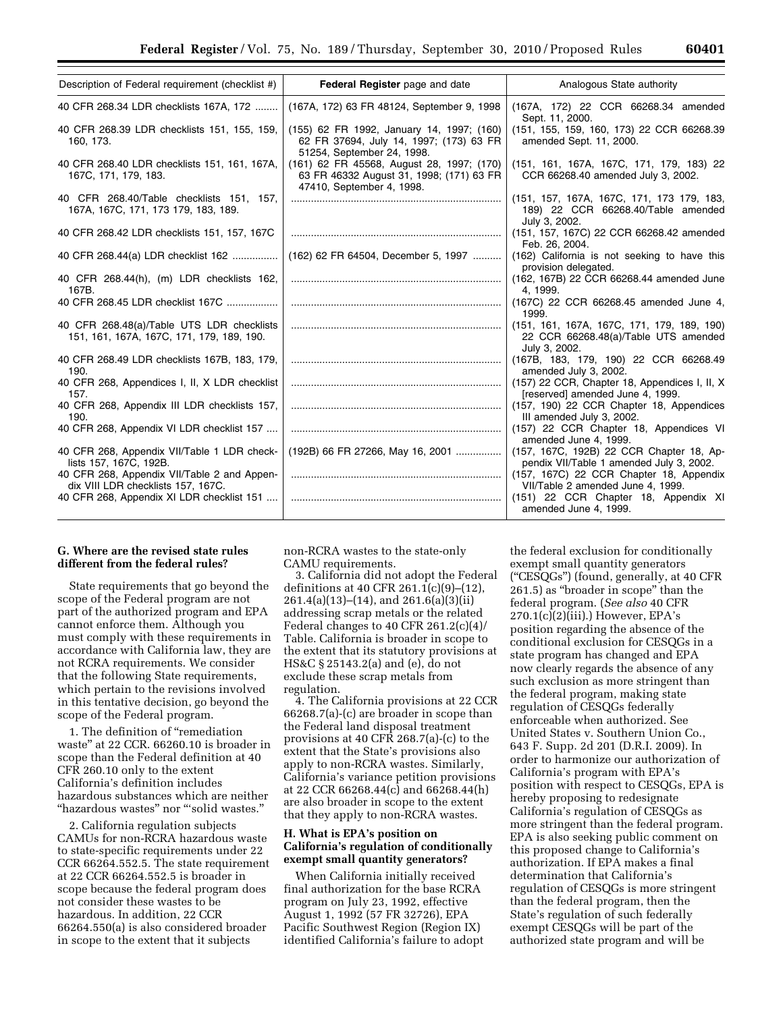| Description of Federal requirement (checklist #)                                       | Federal Register page and date                                                                                     | Analogous State authority                                                                           |
|----------------------------------------------------------------------------------------|--------------------------------------------------------------------------------------------------------------------|-----------------------------------------------------------------------------------------------------|
| 40 CFR 268.34 LDR checklists 167A, 172                                                 | (167A, 172) 63 FR 48124, September 9, 1998                                                                         | (167A, 172) 22 CCR 66268.34 amended<br>Sept. 11, 2000.                                              |
| 40 CFR 268.39 LDR checklists 151, 155, 159,<br>160, 173.                               | (155) 62 FR 1992, January 14, 1997; (160)<br>62 FR 37694, July 14, 1997; (173) 63 FR<br>51254, September 24, 1998. | (151, 155, 159, 160, 173) 22 CCR 66268.39<br>amended Sept. 11, 2000.                                |
| 40 CFR 268.40 LDR checklists 151, 161, 167A,<br>167C, 171, 179, 183.                   | (161) 62 FR 45568, August 28, 1997; (170)<br>63 FR 46332 August 31, 1998; (171) 63 FR<br>47410, September 4, 1998. | (151, 161, 167A, 167C, 171, 179, 183) 22<br>CCR 66268.40 amended July 3, 2002.                      |
| 40 CFR 268.40/Table checklists 151, 157,<br>167A, 167C, 171, 173 179, 183, 189.        |                                                                                                                    | (151, 157, 167A, 167C, 171, 173 179, 183,<br>189) 22 CCR 66268.40/Table amended<br>July 3, 2002.    |
| 40 CFR 268.42 LDR checklists 151, 157, 167C                                            |                                                                                                                    | (151, 157, 167C) 22 CCR 66268.42 amended<br>Feb. 26, 2004.                                          |
| 40 CFR 268.44(a) LDR checklist 162                                                     | (162) 62 FR 64504, December 5, 1997                                                                                | (162) California is not seeking to have this<br>provision delegated.                                |
| 40 CFR 268.44(h), (m) LDR checklists 162,<br>167B.                                     |                                                                                                                    | (162, 167B) 22 CCR 66268.44 amended June<br>4, 1999.                                                |
| 40 CFR 268.45 LDR checklist 167C                                                       |                                                                                                                    | (167C) 22 CCR 66268.45 amended June 4,<br>1999.                                                     |
| 40 CFR 268.48(a)/Table UTS LDR checklists<br>151, 161, 167A, 167C, 171, 179, 189, 190. |                                                                                                                    | (151, 161, 167A, 167C, 171, 179, 189, 190)<br>22 CCR 66268.48(a)/Table UTS amended<br>July 3, 2002. |
| 40 CFR 268.49 LDR checklists 167B, 183, 179,<br>190.                                   |                                                                                                                    | (167B, 183, 179, 190) 22 CCR 66268.49<br>amended July 3, 2002.                                      |
| 40 CFR 268, Appendices I, II, X LDR checklist<br>157.                                  |                                                                                                                    | (157) 22 CCR, Chapter 18, Appendices I, II, X<br>[reserved] amended June 4, 1999.                   |
| 40 CFR 268, Appendix III LDR checklists 157,<br>190.                                   |                                                                                                                    | (157, 190) 22 CCR Chapter 18, Appendices<br>III amended July 3, 2002.                               |
| 40 CFR 268, Appendix VI LDR checklist 157                                              |                                                                                                                    | (157) 22 CCR Chapter 18, Appendices VI<br>amended June 4, 1999.                                     |
| 40 CFR 268, Appendix VII/Table 1 LDR check-<br>lists 157, 167C, 192B.                  | (192B) 66 FR 27266, May 16, 2001                                                                                   | (157, 167C, 192B) 22 CCR Chapter 18, Ap-<br>pendix VII/Table 1 amended July 3, 2002.                |
| 40 CFR 268, Appendix VII/Table 2 and Appen-<br>dix VIII LDR checklists 157, 167C.      |                                                                                                                    | (157, 167C) 22 CCR Chapter 18, Appendix<br>VII/Table 2 amended June 4, 1999.                        |
| 40 CFR 268, Appendix XI LDR checklist 151                                              |                                                                                                                    | (151) 22 CCR Chapter 18, Appendix XI<br>amended June 4, 1999.                                       |

### **G. Where are the revised state rules different from the federal rules?**

State requirements that go beyond the scope of the Federal program are not part of the authorized program and EPA cannot enforce them. Although you must comply with these requirements in accordance with California law, they are not RCRA requirements. We consider that the following State requirements, which pertain to the revisions involved in this tentative decision, go beyond the scope of the Federal program.

1. The definition of ''remediation waste'' at 22 CCR. 66260.10 is broader in scope than the Federal definition at 40 CFR 260.10 only to the extent California's definition includes hazardous substances which are neither ''hazardous wastes'' nor '''solid wastes.''

2. California regulation subjects CAMUs for non-RCRA hazardous waste to state-specific requirements under 22 CCR 66264.552.5. The state requirement at 22 CCR 66264.552.5 is broader in scope because the federal program does not consider these wastes to be hazardous. In addition, 22 CCR 66264.550(a) is also considered broader in scope to the extent that it subjects

non-RCRA wastes to the state-only CAMU requirements.

3. California did not adopt the Federal definitions at 40 CFR 261.1(c)(9)–(12), 261.4(a)(13)–(14), and 261.6(a)(3)(ii) addressing scrap metals or the related Federal changes to 40 CFR 261.2(c)(4)/ Table. California is broader in scope to the extent that its statutory provisions at HS&C § 25143.2(a) and (e), do not exclude these scrap metals from regulation.

4. The California provisions at 22 CCR 66268.7(a)-(c) are broader in scope than the Federal land disposal treatment provisions at 40 CFR 268.7(a)-(c) to the extent that the State's provisions also apply to non-RCRA wastes. Similarly, California's variance petition provisions at 22 CCR 66268.44(c) and 66268.44(h) are also broader in scope to the extent that they apply to non-RCRA wastes.

# **H. What is EPA's position on California's regulation of conditionally exempt small quantity generators?**

When California initially received final authorization for the base RCRA program on July 23, 1992, effective August 1, 1992 (57 FR 32726), EPA Pacific Southwest Region (Region IX) identified California's failure to adopt

the federal exclusion for conditionally exempt small quantity generators (''CESQGs'') (found, generally, at 40 CFR 261.5) as ''broader in scope'' than the federal program. (*See also* 40 CFR 270.1(c)(2)(iii).) However, EPA's position regarding the absence of the conditional exclusion for CESQGs in a state program has changed and EPA now clearly regards the absence of any such exclusion as more stringent than the federal program, making state regulation of CESQGs federally enforceable when authorized. See United States v. Southern Union Co., 643 F. Supp. 2d 201 (D.R.I. 2009). In order to harmonize our authorization of California's program with EPA's position with respect to CESQGs, EPA is hereby proposing to redesignate California's regulation of CESQGs as more stringent than the federal program. EPA is also seeking public comment on this proposed change to California's authorization. If EPA makes a final determination that California's regulation of CESQGs is more stringent than the federal program, then the State's regulation of such federally exempt CESQGs will be part of the authorized state program and will be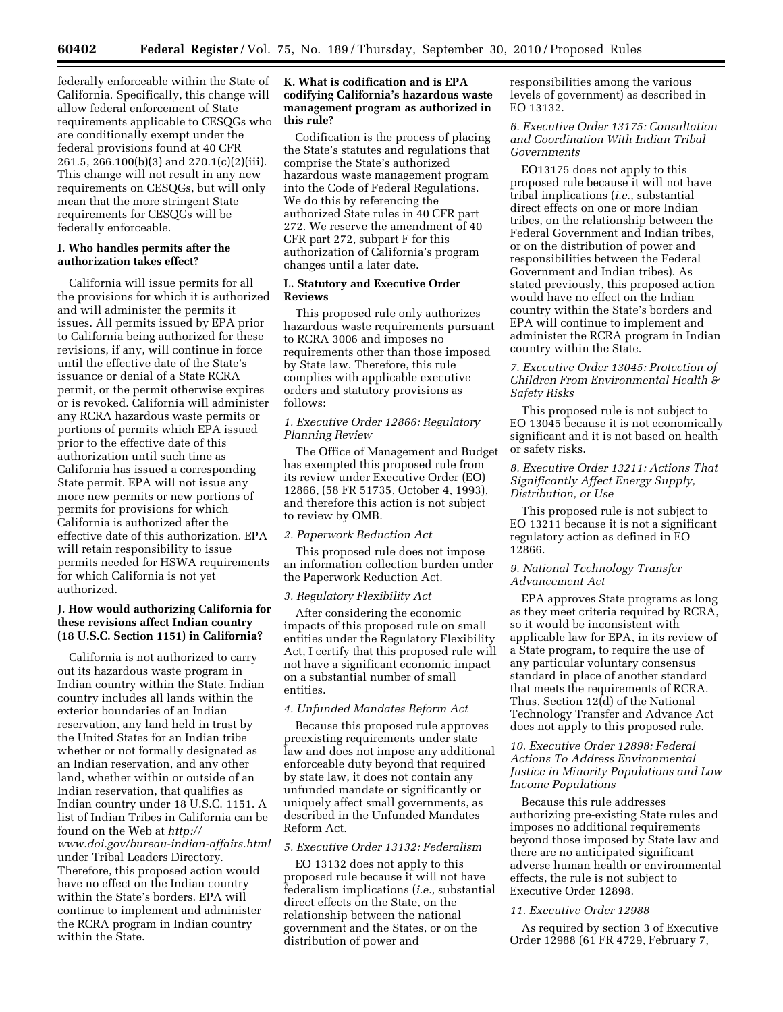federally enforceable within the State of California. Specifically, this change will allow federal enforcement of State requirements applicable to CESQGs who are conditionally exempt under the federal provisions found at 40 CFR 261.5, 266.100(b)(3) and 270.1(c)(2)(iii). This change will not result in any new requirements on CESQGs, but will only mean that the more stringent State requirements for CESQGs will be federally enforceable.

### **I. Who handles permits after the authorization takes effect?**

California will issue permits for all the provisions for which it is authorized and will administer the permits it issues. All permits issued by EPA prior to California being authorized for these revisions, if any, will continue in force until the effective date of the State's issuance or denial of a State RCRA permit, or the permit otherwise expires or is revoked. California will administer any RCRA hazardous waste permits or portions of permits which EPA issued prior to the effective date of this authorization until such time as California has issued a corresponding State permit. EPA will not issue any more new permits or new portions of permits for provisions for which California is authorized after the effective date of this authorization. EPA will retain responsibility to issue permits needed for HSWA requirements for which California is not yet authorized.

## **J. How would authorizing California for these revisions affect Indian country (18 U.S.C. Section 1151) in California?**

California is not authorized to carry out its hazardous waste program in Indian country within the State. Indian country includes all lands within the exterior boundaries of an Indian reservation, any land held in trust by the United States for an Indian tribe whether or not formally designated as an Indian reservation, and any other land, whether within or outside of an Indian reservation, that qualifies as Indian country under 18 U.S.C. 1151. A list of Indian Tribes in California can be found on the Web at *[http://](http://www.doi.gov/bureau-indian-affairs.html)  [www.doi.gov/bureau-indian-affairs.html](http://www.doi.gov/bureau-indian-affairs.html)*  under Tribal Leaders Directory. Therefore, this proposed action would have no effect on the Indian country within the State's borders. EPA will continue to implement and administer the RCRA program in Indian country within the State.

## **K. What is codification and is EPA codifying California's hazardous waste management program as authorized in this rule?**

Codification is the process of placing the State's statutes and regulations that comprise the State's authorized hazardous waste management program into the Code of Federal Regulations. We do this by referencing the authorized State rules in 40 CFR part 272. We reserve the amendment of 40 CFR part 272, subpart F for this authorization of California's program changes until a later date.

## **L. Statutory and Executive Order Reviews**

This proposed rule only authorizes hazardous waste requirements pursuant to RCRA 3006 and imposes no requirements other than those imposed by State law. Therefore, this rule complies with applicable executive orders and statutory provisions as follows:

### *1. Executive Order 12866: Regulatory Planning Review*

The Office of Management and Budget has exempted this proposed rule from its review under Executive Order (EO) 12866, (58 FR 51735, October 4, 1993), and therefore this action is not subject to review by OMB.

## *2. Paperwork Reduction Act*

This proposed rule does not impose an information collection burden under the Paperwork Reduction Act.

#### *3. Regulatory Flexibility Act*

After considering the economic impacts of this proposed rule on small entities under the Regulatory Flexibility Act, I certify that this proposed rule will not have a significant economic impact on a substantial number of small entities.

## *4. Unfunded Mandates Reform Act*

Because this proposed rule approves preexisting requirements under state law and does not impose any additional enforceable duty beyond that required by state law, it does not contain any unfunded mandate or significantly or uniquely affect small governments, as described in the Unfunded Mandates Reform Act.

#### *5. Executive Order 13132: Federalism*

EO 13132 does not apply to this proposed rule because it will not have federalism implications (*i.e.,* substantial direct effects on the State, on the relationship between the national government and the States, or on the distribution of power and

responsibilities among the various levels of government) as described in EO 13132.

*6. Executive Order 13175: Consultation and Coordination With Indian Tribal Governments* 

EO13175 does not apply to this proposed rule because it will not have tribal implications (*i.e.,* substantial direct effects on one or more Indian tribes, on the relationship between the Federal Government and Indian tribes, or on the distribution of power and responsibilities between the Federal Government and Indian tribes). As stated previously, this proposed action would have no effect on the Indian country within the State's borders and EPA will continue to implement and administer the RCRA program in Indian country within the State.

### *7. Executive Order 13045: Protection of Children From Environmental Health & Safety Risks*

This proposed rule is not subject to EO 13045 because it is not economically significant and it is not based on health or safety risks.

*8. Executive Order 13211: Actions That Significantly Affect Energy Supply, Distribution, or Use* 

This proposed rule is not subject to EO 13211 because it is not a significant regulatory action as defined in EO 12866.

## *9. National Technology Transfer Advancement Act*

EPA approves State programs as long as they meet criteria required by RCRA, so it would be inconsistent with applicable law for EPA, in its review of a State program, to require the use of any particular voluntary consensus standard in place of another standard that meets the requirements of RCRA. Thus, Section 12(d) of the National Technology Transfer and Advance Act does not apply to this proposed rule.

## *10. Executive Order 12898: Federal Actions To Address Environmental Justice in Minority Populations and Low Income Populations*

Because this rule addresses authorizing pre-existing State rules and imposes no additional requirements beyond those imposed by State law and there are no anticipated significant adverse human health or environmental effects, the rule is not subject to Executive Order 12898.

#### *11. Executive Order 12988*

As required by section 3 of Executive Order 12988 (61 FR 4729, February 7,